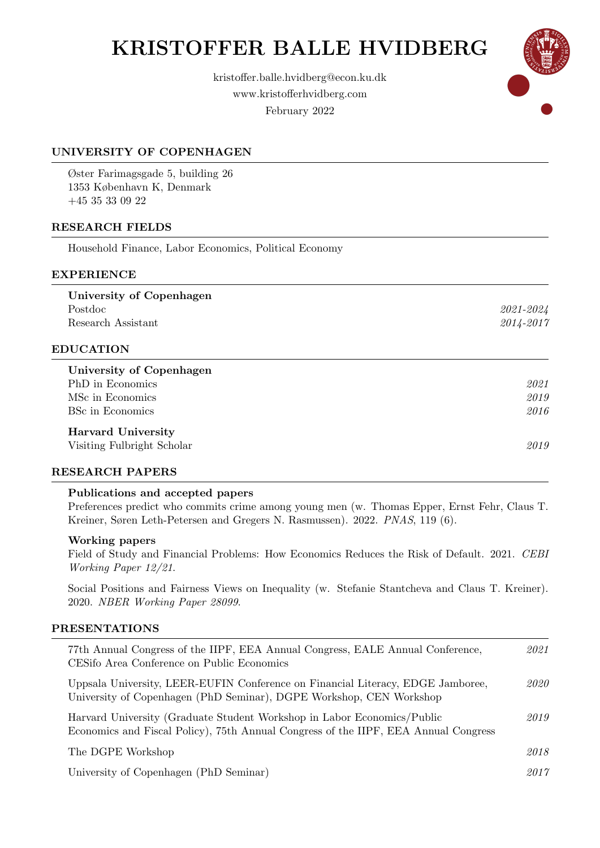# KRISTOFFER BALLE HVIDBERG





# UNIVERSITY OF COPENHAGEN

Øster Farimagsgade 5, building 26 1353 København K, Denmark +45 35 33 09 22

# RESEARCH FIELDS

Household Finance, Labor Economics, Political Economy

# EXPERIENCE

University of Copenhagen Postdoc 2021-2024 Research Assistant 2014-2017

# EDUCATION

University of Copenhagen PhD in Economics 2021 MSc in Economics 2019 BSc in Economics 2016

### Harvard University

Visiting Fulbright Scholar 2019

#### RESEARCH PAPERS

#### Publications and accepted papers

Preferences predict who commits crime among young men (w. Thomas Epper, Ernst Fehr, Claus T. Kreiner, Søren Leth-Petersen and Gregers N. Rasmussen). 2022. PNAS, 119 (6).

#### Working papers

Field of Study and Financial Problems: How Economics Reduces the Risk of Default. 2021. CEBI Working Paper 12/21.

Social Positions and Fairness Views on Inequality (w. Stefanie Stantcheva and Claus T. Kreiner). 2020. NBER Working Paper 28099.

#### PRESENTATIONS

| 77th Annual Congress of the IIPF, EEA Annual Congress, EALE Annual Conference,<br>CESifo Area Conference on Public Economics                                   | 2021 |
|----------------------------------------------------------------------------------------------------------------------------------------------------------------|------|
| Uppsala University, LEER-EUFIN Conference on Financial Literacy, EDGE Jamboree,<br>University of Copenhagen (PhD Seminar), DGPE Workshop, CEN Workshop         | 2020 |
| Harvard University (Graduate Student Workshop in Labor Economics/Public<br>Economics and Fiscal Policy), 75th Annual Congress of the IIPF, EEA Annual Congress | 2019 |
| The DGPE Workshop                                                                                                                                              | 2018 |
| University of Copenhagen (PhD Seminar)                                                                                                                         | 2017 |